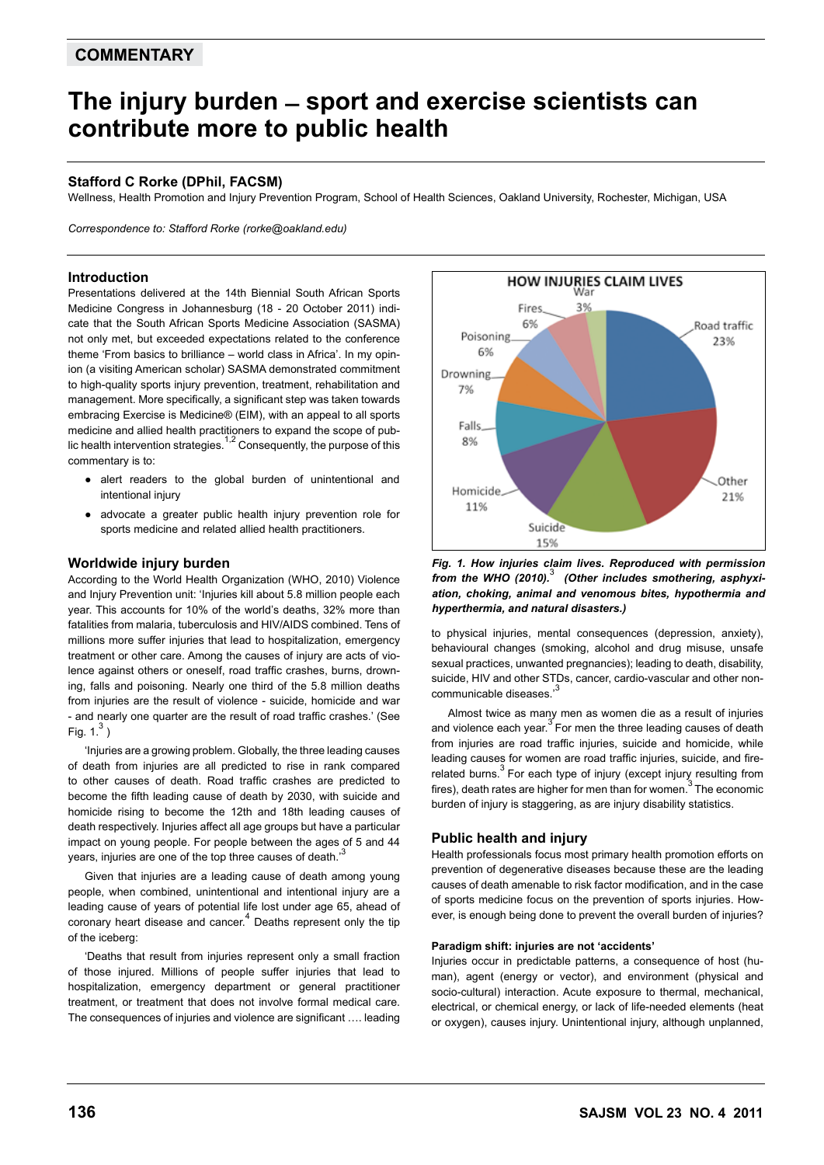# **COMMENTARY**

# **The injury burden ̶ sport and exercise scientists can contribute more to public health**

# **Stafford C Rorke (DPhil, FACSM)**

Wellness, Health Promotion and Injury Prevention Program, School of Health Sciences, Oakland University, Rochester, Michigan, USA

*Correspondence to: Stafford Rorke (rorke@oakland.edu)*

### **Introduction**

Presentations delivered at the 14th Biennial South African Sports Medicine Congress in Johannesburg (18 - 20 October 2011) indicate that the South African Sports Medicine Association (SASMA) not only met, but exceeded expectations related to the conference theme 'From basics to brilliance – world class in Africa'. In my opinion (a visiting American scholar) SASMA demonstrated commitment to high-quality sports injury prevention, treatment, rehabilitation and management. More specifically, a significant step was taken towards embracing Exercise is Medicine® (EIM), with an appeal to all sports medicine and allied health practitioners to expand the scope of public health intervention strategies.<sup>1,2</sup> Consequently, the purpose of this commentary is to:

- alert readers to the global burden of unintentional and intentional injury
- advocate a greater public health injury prevention role for sports medicine and related allied health practitioners.

#### **Worldwide injury burden**

According to the World Health Organization (WHO, 2010) Violence and Injury Prevention unit: 'Injuries kill about 5.8 million people each year. This accounts for 10% of the world's deaths, 32% more than fatalities from malaria, tuberculosis and HIV/AIDS combined. Tens of millions more suffer injuries that lead to hospitalization, emergency treatment or other care. Among the causes of injury are acts of violence against others or oneself, road traffic crashes, burns, drowning, falls and poisoning. Nearly one third of the 5.8 million deaths from injuries are the result of violence - suicide, homicide and war - and nearly one quarter are the result of road traffic crashes.' (See Fig.  $1<sup>3</sup>$ )

'Injuries are a growing problem. Globally, the three leading causes of death from injuries are all predicted to rise in rank compared to other causes of death. Road traffic crashes are predicted to become the fifth leading cause of death by 2030, with suicide and homicide rising to become the 12th and 18th leading causes of death respectively. Injuries affect all age groups but have a particular impact on young people. For people between the ages of 5 and 44 years, injuries are one of the top three causes of death.<sup>3</sup>

Given that injuries are a leading cause of death among young people, when combined, unintentional and intentional injury are a leading cause of years of potential life lost under age 65, ahead of coronary heart disease and cancer.<sup>4</sup> Deaths represent only the tip of the iceberg:

'Deaths that result from injuries represent only a small fraction of those injured. Millions of people suffer injuries that lead to hospitalization, emergency department or general practitioner treatment, or treatment that does not involve formal medical care. The consequences of injuries and violence are significant …. leading



*Fig. 1. How injuries claim lives. Reproduced with permission from the WHO (2010).*<sup>3</sup>  *(Other includes smothering, asphyxiation, choking, animal and venomous bites, hypothermia and hyperthermia, and natural disasters.)*

to physical injuries, mental consequences (depression, anxiety), behavioural changes (smoking, alcohol and drug misuse, unsafe sexual practices, unwanted pregnancies); leading to death, disability, suicide, HIV and other STDs, cancer, cardio-vascular and other noncommunicable diseases.'

Almost twice as many men as women die as a result of injuries and violence each year. For men the three leading causes of death from injuries are road traffic injuries, suicide and homicide, while leading causes for women are road traffic injuries, suicide, and firerelated burns.<sup>3</sup> For each type of injury (except injury resulting from fires), death rates are higher for men than for women.<sup>3</sup> The economic burden of injury is staggering, as are injury disability statistics.

## **Public health and injury**

Health professionals focus most primary health promotion efforts on prevention of degenerative diseases because these are the leading causes of death amenable to risk factor modification, and in the case of sports medicine focus on the prevention of sports injuries. However, is enough being done to prevent the overall burden of injuries?

#### **Paradigm shift: injuries are not 'accidents'**

Injuries occur in predictable patterns, a consequence of host (human), agent (energy or vector), and environment (physical and socio-cultural) interaction. Acute exposure to thermal, mechanical, electrical, or chemical energy, or lack of life-needed elements (heat or oxygen), causes injury. Unintentional injury, although unplanned,